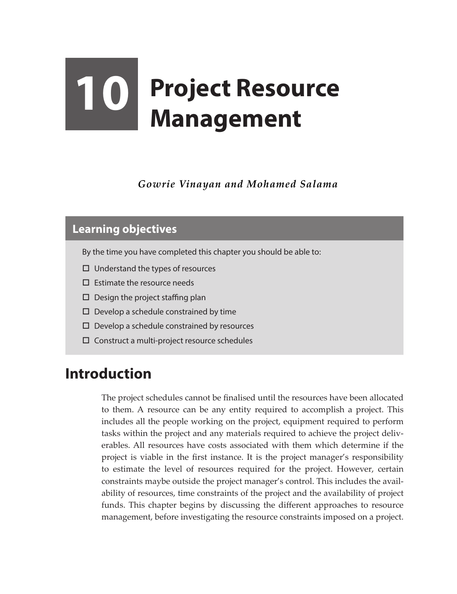# **10 Project Resource Management**

*Gowrie Vinayan and Mohamed Salama*

#### **Learning objectives**

By the time you have completed this chapter you should be able to:

- $\Box$  Understand the types of resources
- $\Box$  Estimate the resource needs
- $\square$  Design the project staffing plan
- $\square$  Develop a schedule constrained by time
- $\Box$  Develop a schedule constrained by resources
- $\square$  Construct a multi-project resource schedules

### **Introduction**

The project schedules cannot be finalised until the resources have been allocated to them. A resource can be any entity required to accomplish a project. This includes all the people working on the project, equipment required to perform tasks within the project and any materials required to achieve the project deliverables. All resources have costs associated with them which determine if the project is viable in the first instance. It is the project manager's responsibility to estimate the level of resources required for the project. However, certain constraints maybe outside the project manager's control. This includes the availability of resources, time constraints of the project and the availability of project funds. This chapter begins by discussing the different approaches to resource management, before investigating the resource constraints imposed on a project.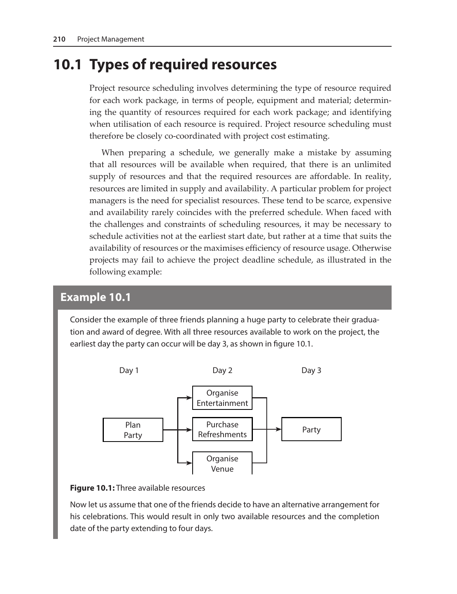## **10.1 Types of required resources**

Project resource scheduling involves determining the type of resource required for each work package, in terms of people, equipment and material; determining the quantity of resources required for each work package; and identifying when utilisation of each resource is required. Project resource scheduling must therefore be closely co-coordinated with project cost estimating.

When preparing a schedule, we generally make a mistake by assuming that all resources will be available when required, that there is an unlimited supply of resources and that the required resources are affordable. In reality, resources are limited in supply and availability. A particular problem for project managers is the need for specialist resources. These tend to be scarce, expensive and availability rarely coincides with the preferred schedule. When faced with the challenges and constraints of scheduling resources, it may be necessary to schedule activities not at the earliest start date, but rather at a time that suits the availability of resources or the maximises efficiency of resource usage. Otherwise projects may fail to achieve the project deadline schedule, as illustrated in the following example:

#### **Example 10.1**

Consider the example of three friends planning a huge party to celebrate their graduation and award of degree. With all three resources available to work on the project, the earliest day the party can occur will be day 3, as shown in figure 10.1.



**Figure 10.1:** Three available resources

Now let us assume that one of the friends decide to have an alternative arrangement for his celebrations. This would result in only two available resources and the completion date of the party extending to four days.